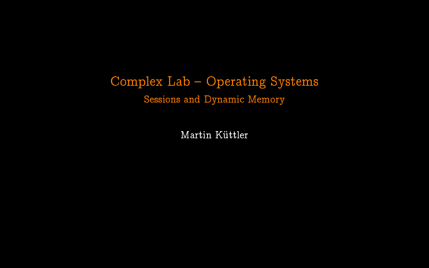# Complex Lab - Operating Systems Sessions and Dynamic Memory

Martin Küttler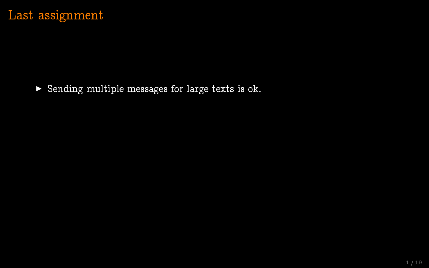$\triangleright$  Sending multiple messages for large texts is ok.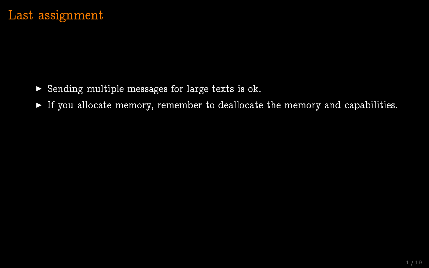- $\triangleright$  Sending multiple messages for large texts is ok.
- $\triangleright$  If you allocate memory, remember to deallocate the memory and capabilities.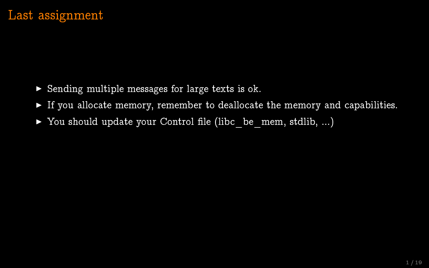- $\triangleright$  Sending multiple messages for large texts is ok.
- $\triangleright$  If you allocate memory, remember to deallocate the memory and capabilities.
- $\triangleright$  You should update your Control file (libc be mem, stdlib, ...)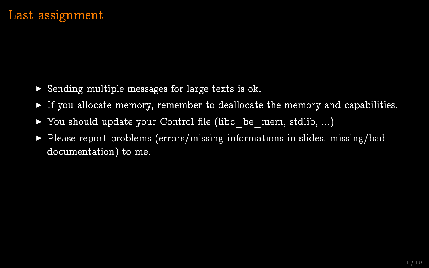- $\triangleright$  Sending multiple messages for large texts is ok.
- $\triangleright$  If you allocate memory, remember to deallocate the memory and capabilities.
- $\triangleright$  You should update your Control file (libc be mem, stdlib, ...)
- $\triangleright$  Please report problems (errors/missing informations in slides, missing/bad documentation) to me.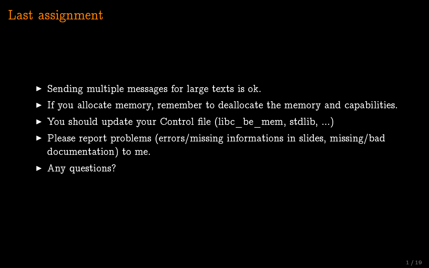- $\triangleright$  Sending multiple messages for large texts is ok.
- $\triangleright$  If you allocate memory, remember to deallocate the memory and capabilities.
- $\triangleright$  You should update your Control file (libc be mem, stdlib, ...)
- $\triangleright$  Please report problems (errors/missing informations in slides, missing/bad documentation) to me.
- $\blacktriangleright$  Any questions?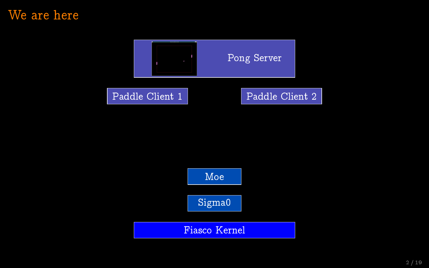#### We are here



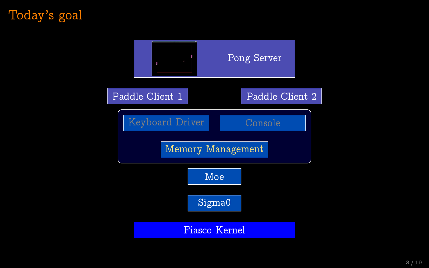# Today's goal

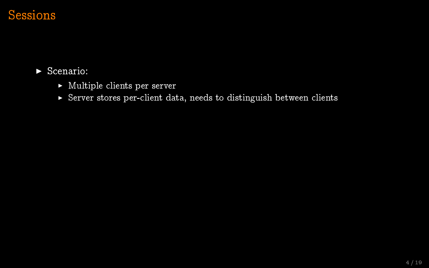#### $\blacktriangleright$  Scenario:

- $\blacktriangleright$  Multiple clients per server
- <sup>I</sup> Server stores per-client data, needs to distinguish between clients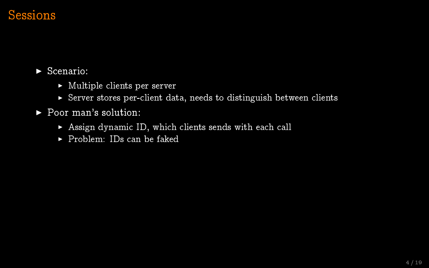$\blacktriangleright$  Scenario:

- $\blacktriangleright$  Multiple clients per server
- $\triangleright$  Server stores per-client data, needs to distinguish between clients
- ▶ Poor man's solution:
	- $\triangleright$  Assign dynamic ID, which clients sends with each call
	- $\blacktriangleright$  Problem: IDs can be faked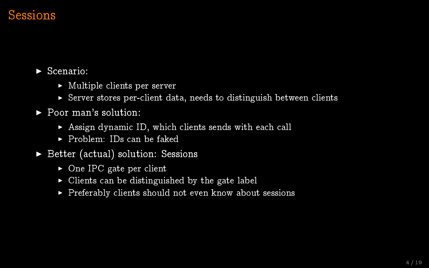$\blacktriangleright$  Scenario:

- $\triangleright$  Multiple clients per server
- $\triangleright$  Server stores per-client data, needs to distinguish between clients
- $\blacktriangleright$  Poor man's solution:
	- $\triangleright$  Assign dynamic ID, which clients sends with each call
	- $\blacktriangleright$  Problem: IDs can be faked
- $\triangleright$  Better (actual) solution: Sessions
	- $\triangleright$  One IPC gate per client
	- $\triangleright$  Clients can be distinguished by the gate label
	- $\blacktriangleright$  Preferably clients should not even know about sessions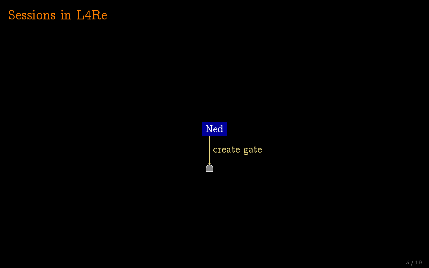Ned create gate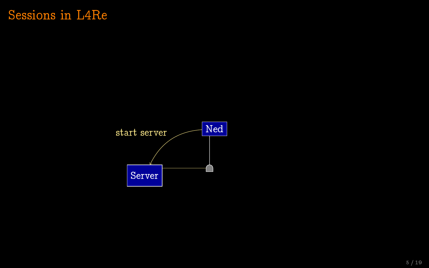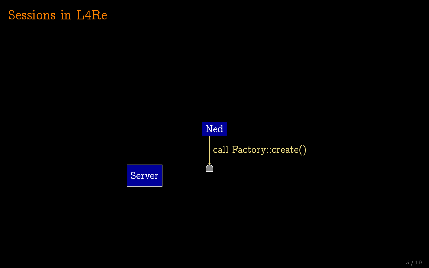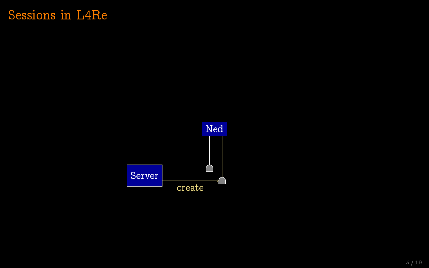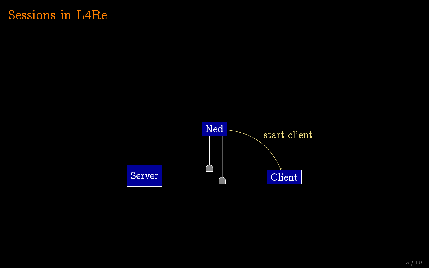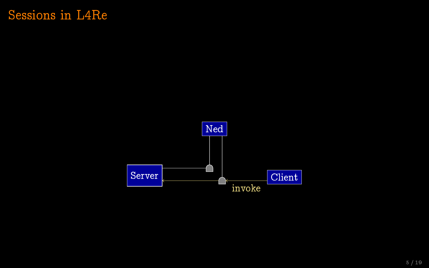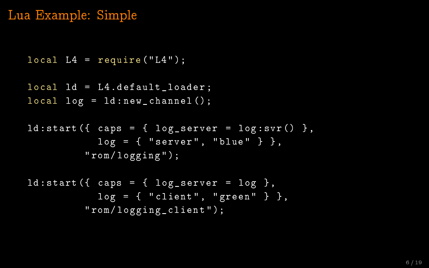## Lua Example: Simple

```
local L4 = require('L4");
local Id = L4.default loader ;
local log = 1d : new-channel();
```

```
ld: start({ \text{caps} = { \text{log\_server} = \text{log:svr() }},
              log = { "server", "blue" } },
           "rom/logging");
```

```
ld: start ({ caps = { log\_server = log },
            log = { "client", "green" } },
          " rom / logging_client " );
```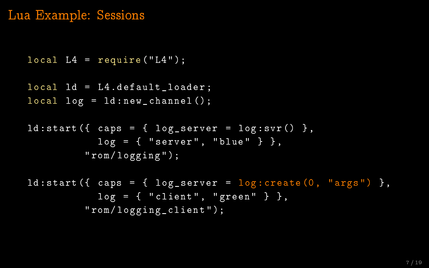#### Lua Example: Sessions

```
local L4 = require('L4");
```

```
local Id = L4.default loader ;
local log = 1d : new-channel();
```

```
ld: start({ \text{caps} = { \text{log\_server} = \text{log:svr() }},
              log = { "server", "blue" },
           " rom / logging " );
```

```
ld: start({ caps = { log\_server = log: create(0, "args") },
           log = { "client", "green" },
         " rom / logging_client " );
```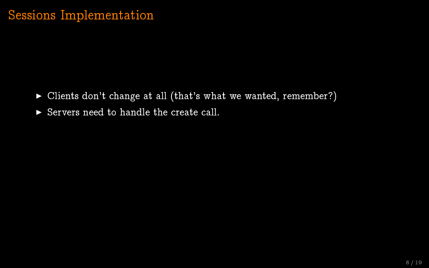- $\triangleright$  Clients don't change at all (that's what we wanted, remember?)
- $\triangleright$  Servers need to handle the create call.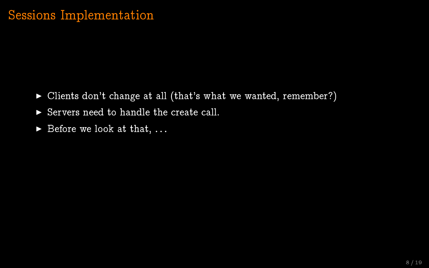#### Sessions Implementation

- $\triangleright$  Clients don't change at all (that's what we wanted, remember?)
- $\triangleright$  Servers need to handle the create call.
- $\blacktriangleright$  Before we look at that, ...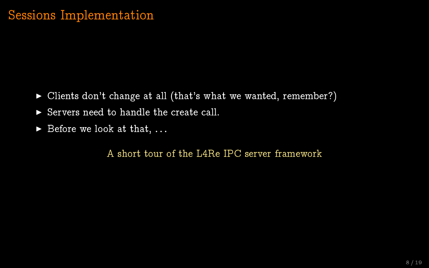#### Sessions Implementation

- ▶ Clients don't change at all (that's what we wanted, remember?)
- $\triangleright$  Servers need to handle the create call.
- $\blacktriangleright$  Before we look at that, ...

A short tour of the L4Re IPC server framework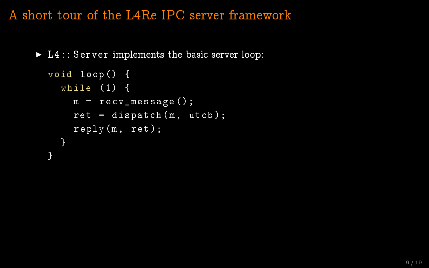A short tour of the L4Re IPC server framework

 $\blacktriangleright$  L4 : : Server implements the basic server loop:

```
void loop () {
  while (1) {
    m = recv_message ();
    ret = dispatch(m, utcb);reply(m, ret);}
}
```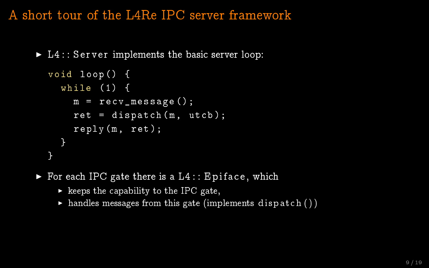A short tour of the L4Re IPC server framework

 $\blacktriangleright$  L4 : : Server implements the basic server loop:

```
void loop () {
  while (1) {
    m = recv_message ();
    ret = dispatch(m, utcb);reply(m, ret);}
}
```
- $\triangleright$  For each IPC gate there is a L4 :: Epiface, which
	- $\blacktriangleright$  keeps the capability to the IPC gate,
	- $\triangleright$  handles messages from this gate (implements dispatch ())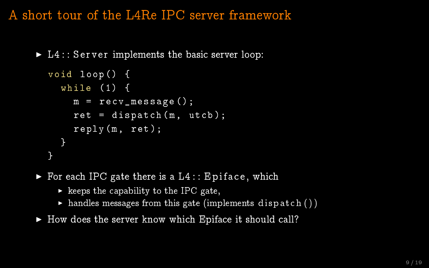A short tour of the L4Re IPC server framework

 $\blacktriangleright$  L4 : : Server implements the basic server loop:

```
void loop () {
  while (1) {
    m = recv message ();
    ret = dispatch(m, utcb);reply(m, ret);}
}
```
 $\triangleright$  For each IPC gate there is a  $L4$ : : Epiface, which

- $\triangleright$  keeps the capability to the IPC gate,
- $\triangleright$  handles messages from this gate (implements dispatch ())
- $\blacktriangleright$  How does the server know which Epiface it should call?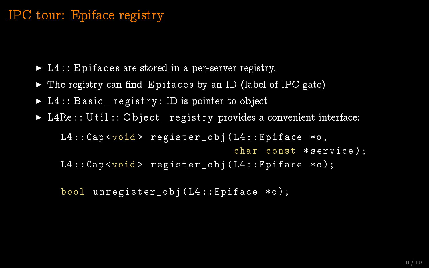### IPC tour: Epiface registry

- $\blacktriangleright$  L4 : : E pifaces are stored in a per-server registry.
- $\triangleright$  The registry can find Epifaces by an ID (label of IPC gate)
- $\blacktriangleright$  L4 :: Basic registry: ID is pointer to object
- ► L4Re :: U til :: O bject registry provides a convenient interface:

L4:: Cap < void > register\_obj (L4:: Epiface \*o, char const \*service); L4:: Cap<void> register\_obj (L4:: Epiface \*o);

bool unregister\_obj ( L4 :: Epiface \*o );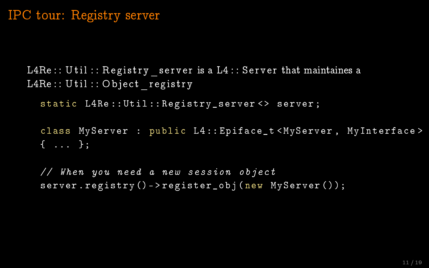#### IPC tour: Registry server

L4Re :: U til :: Registry server is a L4 :: Server that maintaines a  $L4Re :: Util :: Object$  registry

static L4Re :: Util :: Registry\_server <> server ;

class MyServer : public L4:: Epiface t< MyServer, MyInterface> { ... };

// When you need a new session object server.registry()->register\_obj(new MyServer());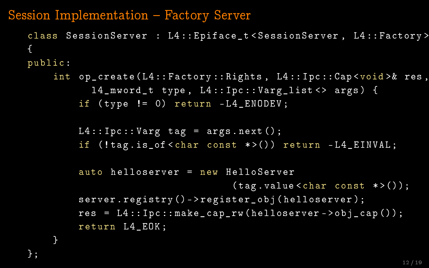Session Implementation – Factory Server

};

```
class SessionServer : L4 :: Epiface_t < SessionServer , L4 :: Factory >
{
public :
    int op_create ( L4 :: Factory :: Rights , L4 :: Ipc :: Cap <void >& res ,
           14 mword t type, L4:: Ipc :: Varg_list <> args) {
         if (tvpe := 0) return -L4 ENODEV;
        L4:: Ipc :: Varg tag = args.next ():
         if (! tag . is_of < char const * >()) return - L4_EINVAL ;
         auto helloserver = new HelloServer
                                    (tag. value < char const *>());
         server.registry()->register_obj(helloserver);
         res = L4::Ipc::make\_cap\_rw(helloserver ->obj\_cap());
        return L4_EOK ;
    }
```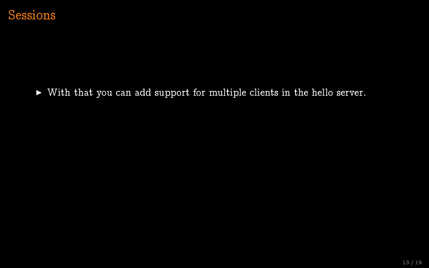

 $\triangleright$  With that you can add support for multiple clients in the hello server.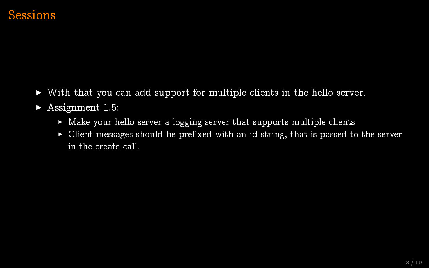- $\triangleright$  With that you can add support for multiple clients in the hello server.
- $\blacktriangleright$  Assignment 1.5:
	- $\triangleright$  Make your hello server a logging server that supports multiple clients
	- $\triangleright$  Client messages should be prefixed with an id string, that is passed to the server in the create call.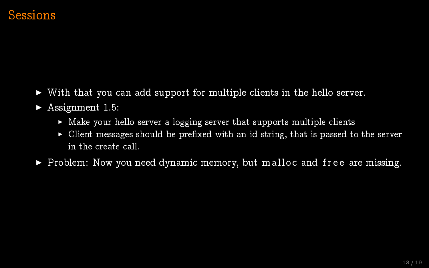- $\triangleright$  With that you can add support for multiple clients in the hello server.
- $\blacktriangleright$  Assignment 1.5:
	- $\triangleright$  Make your hello server a logging server that supports multiple clients
	- $\triangleright$  Client messages should be prefixed with an id string, that is passed to the server in the create call.
- $\triangleright$  Problem: Now you need dynamic memory, but malloc and free are missing.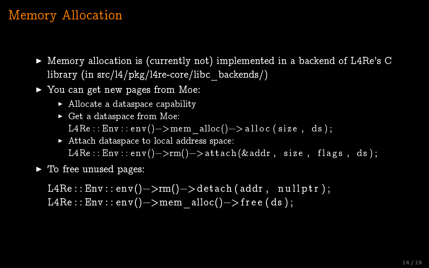# Memory Allocation

- $\triangleright$  Memory allocation is (currently not) implemented in a backend of L4Re's C library (in src/l4/pkg/l4re-core/libc\_backends/)
- $\blacktriangleright$  You can get new pages from Moe:
	- $\blacktriangleright$  Allocate a dataspace capability
	- $\triangleright$  Get a dataspace from Moe:

L4Re : :  $Env$  : :  $env$  () - > mem\_alloc() - > alloc ( size, ds ) ;

- $\blacktriangleright$  Attach dataspace to local address space:  $L4 \text{Re}$  :: Env:: env()->rm()->attach (&addr, size, flags, ds);
- $\blacktriangleright$  To free unused pages:

 $L4Re$  ::  $Env$  ::  $env() \rightarrow rm() \rightarrow detach (addr, nullptr);$ L4Re :: Env :: env() - > mem\_alloc() - > free (ds);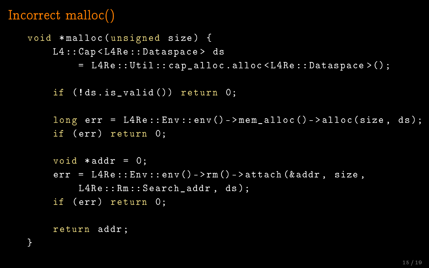# Incorrect malloc()

```
void * malloc ( unsigned size ) {
    L4 :: Cap < L4Re :: Dataspace > ds
         = L4Re :: Util :: cap_alloc . alloc < L4Re :: Dataspace >();
    if (! ds . is_valid ()) return 0;
    long err = L4Re::Env::env() - \geq mem\_alloc() - \geq allocc(size, ds);if (err) return 0;
    void *addr = 0:
    err = L4Re::Env::env() - \geq rm() - \geq attach(kaddr, size,L4Re:: Rm:: Search_addr, ds);
    if (err) return 0;
```
return addr ;

}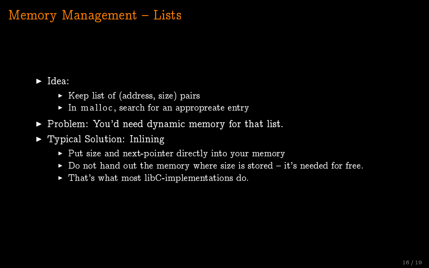# Memory Management - Lists

#### $\blacktriangleright$  Idea:

- $\triangleright$  Keep list of (address, size) pairs
- $\blacktriangleright$  In malloc, search for an appropreate entry
- $\blacktriangleright$  Problem: You'd need dynamic memory for that list.
- $\blacktriangleright$  Typical Solution: Inlining
	- $\triangleright$  Put size and next-pointer directly into your memory
	- $\triangleright$  Do not hand out the memory where size is stored it's needed for free.
	- $\blacktriangleright$  That's what most libC-implementations do.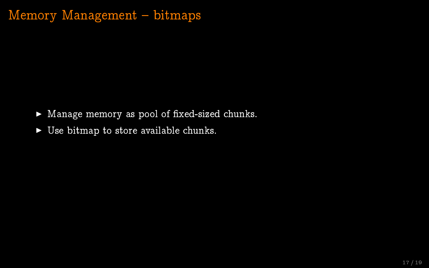# Memory Management - bitmaps

- $\blacktriangleright$  Manage memory as pool of fixed-sized chunks.
- $\triangleright$  Use bitmap to store available chunks.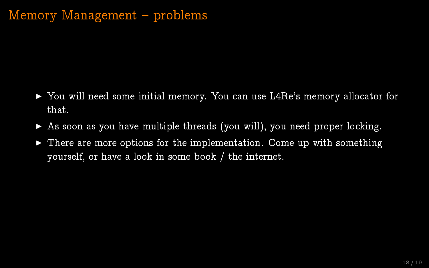## $Memory$  Management  $-problems$

- ► You will need some initial memory. You can use L4Re's memory allocator for that.
- $\triangleright$  As soon as you have multiple threads (you will), you need proper locking.
- $\triangleright$  There are more options for the implementation. Come up with something yourself, or have a look in some book / the internet.